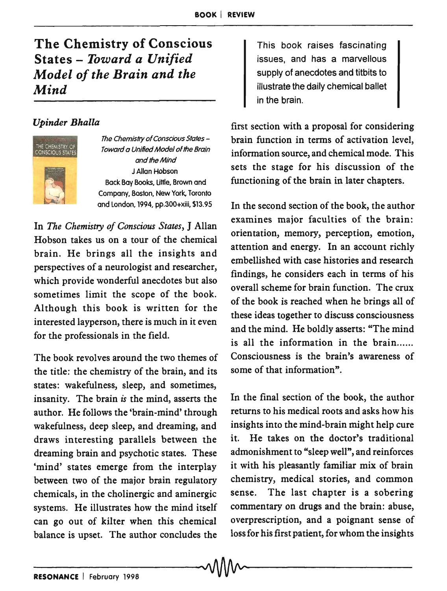The Chemistry of Conscious States - *Toward a Unified Model of the Brain and the Mind* 

## *Upinder Bhalla*



The Chemistry of Conscious States - Toward a Unified Madej of the Brain and the Mind J Allan Hobson Back Bay Books, Uttle, Brown and Company, Boston, New York. Toronto and london, 1994, pp.300+xiii, \$13.95

In *The Chemistry of Conscious States,* J Allan Hobson takes us on a tour of the chemical brain. He brings all the insights and perspectives of a neurologist and researcher, which provide wonderful anecdotes but also sometimes limit the scope of the book. Although this book is written for the interested layperson, there is much in it even for the professionals in the field.

The book revolves around the two themes of the title: the chemistry of the brain, and its states: wakefulness, sleep, and sometimes, insanity. The brain *is* the mind, asserts the author. He follows the 'brain-mind' through wakefulness, deep sleep, and dreaming, and draws interesting parallels between the dreaming brain and psychotic states. These 'mind' states emerge from the interplay between two of the major brain regulatory chemicals, in the cholinergic and aminergic systems. He illustrates how the mind itself can go out of kilter when this chemical balance is upset. The author concludes the balance is upset. The author concludes the loss for his first patient, for whom the insights<br> $\bigwedge_{\text{max}}$ 

This book raises fascinating issues, and has a marvellous supply of anecdotes and titbits to illustrate the daily chemical ballet in the brain.

first section with a proposal for considering brain function in terms of activation level, information source, and chemical mode. This sets the stage for his discussion of the functioning of the brain in later chapters.

In the second section of the book, the author examines major faculties of the brain: orientation, memory, perception, emotion, attention and energy. In an account richly embellished with case histories and research findings, he considers each in terms of his overall scheme for brain function. The crux of the book is reached when he brings all of these ideas together to discuss consciousness and the mind. He boldly asserts: "The mind is all the information in the brain...... Consciousness is the brain's awareness of some of that information".

In the final section of the book, the author returns to his medical roots and asks how his insights into the mind-brain might help cure it. He takes on the doctor's traditional admonishment to "sleep well", and reinforces it with his pleasantly familiar mix of brain chemistry, medical stories, and common sense. The last chapter is a sobering commentary on drugs and the brain: abuse, overprescription, and a poignant sense of loss for his first patient, for whom the insights